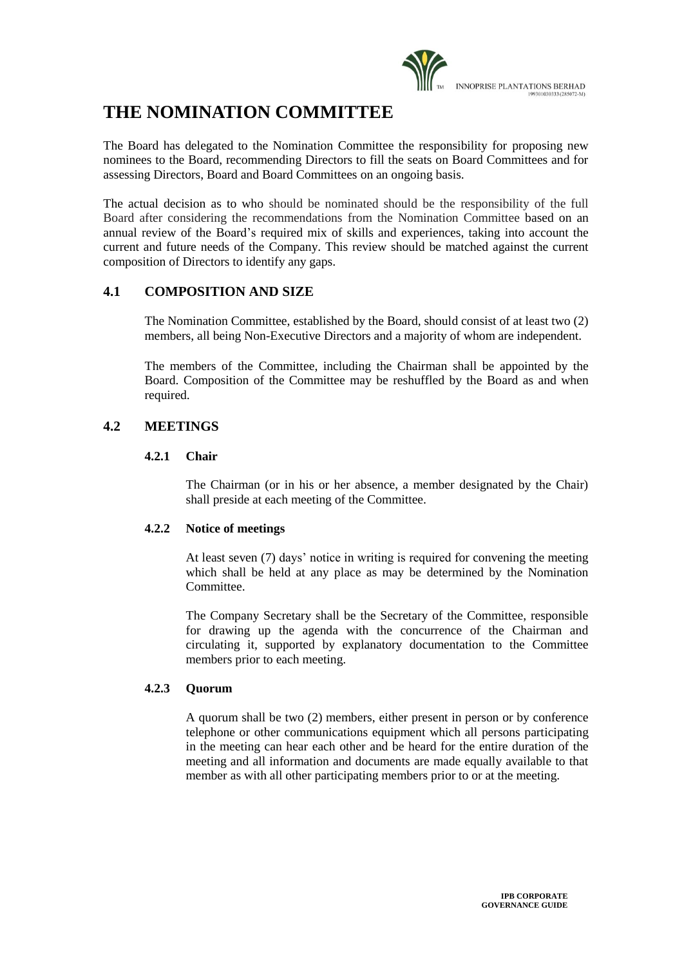

# **THE NOMINATION COMMITTEE**

The Board has delegated to the Nomination Committee the responsibility for proposing new nominees to the Board, recommending Directors to fill the seats on Board Committees and for assessing Directors, Board and Board Committees on an ongoing basis.

The actual decision as to who should be nominated should be the responsibility of the full Board after considering the recommendations from the Nomination Committee based on an annual review of the Board's required mix of skills and experiences, taking into account the current and future needs of the Company. This review should be matched against the current composition of Directors to identify any gaps.

## **4.1 COMPOSITION AND SIZE**

The Nomination Committee, established by the Board, should consist of at least two (2) members, all being Non-Executive Directors and a majority of whom are independent.

The members of the Committee, including the Chairman shall be appointed by the Board. Composition of the Committee may be reshuffled by the Board as and when required.

## **4.2 MEETINGS**

#### **4.2.1 Chair**

The Chairman (or in his or her absence, a member designated by the Chair) shall preside at each meeting of the Committee.

## **4.2.2 Notice of meetings**

At least seven (7) days' notice in writing is required for convening the meeting which shall be held at any place as may be determined by the Nomination **Committee** 

The Company Secretary shall be the Secretary of the Committee, responsible for drawing up the agenda with the concurrence of the Chairman and circulating it, supported by explanatory documentation to the Committee members prior to each meeting.

#### **4.2.3 Quorum**

A quorum shall be two (2) members, either present in person or by conference telephone or other communications equipment which all persons participating in the meeting can hear each other and be heard for the entire duration of the meeting and all information and documents are made equally available to that member as with all other participating members prior to or at the meeting.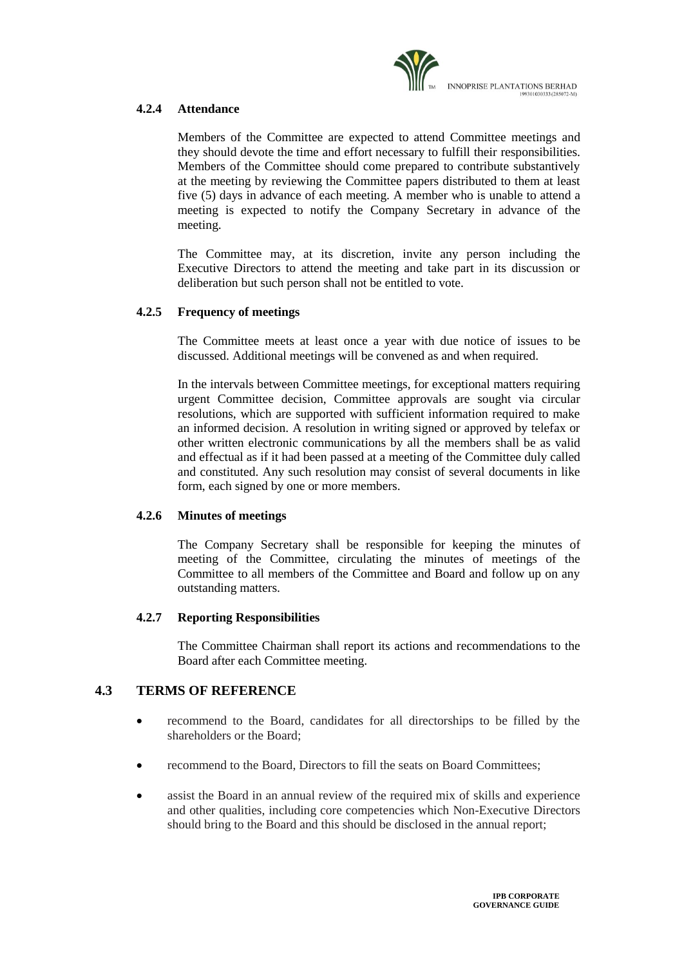

### **4.2.4 Attendance**

Members of the Committee are expected to attend Committee meetings and they should devote the time and effort necessary to fulfill their responsibilities. Members of the Committee should come prepared to contribute substantively at the meeting by reviewing the Committee papers distributed to them at least five (5) days in advance of each meeting. A member who is unable to attend a meeting is expected to notify the Company Secretary in advance of the meeting.

The Committee may, at its discretion, invite any person including the Executive Directors to attend the meeting and take part in its discussion or deliberation but such person shall not be entitled to vote.

#### **4.2.5 Frequency of meetings**

The Committee meets at least once a year with due notice of issues to be discussed. Additional meetings will be convened as and when required.

In the intervals between Committee meetings, for exceptional matters requiring urgent Committee decision, Committee approvals are sought via circular resolutions, which are supported with sufficient information required to make an informed decision. A resolution in writing signed or approved by telefax or other written electronic communications by all the members shall be as valid and effectual as if it had been passed at a meeting of the Committee duly called and constituted. Any such resolution may consist of several documents in like form, each signed by one or more members.

#### **4.2.6 Minutes of meetings**

The Company Secretary shall be responsible for keeping the minutes of meeting of the Committee, circulating the minutes of meetings of the Committee to all members of the Committee and Board and follow up on any outstanding matters.

#### **4.2.7 Reporting Responsibilities**

The Committee Chairman shall report its actions and recommendations to the Board after each Committee meeting.

## **4.3 TERMS OF REFERENCE**

- recommend to the Board, candidates for all directorships to be filled by the shareholders or the Board;
- recommend to the Board, Directors to fill the seats on Board Committees;
- assist the Board in an annual review of the required mix of skills and experience and other qualities, including core competencies which Non-Executive Directors should bring to the Board and this should be disclosed in the annual report;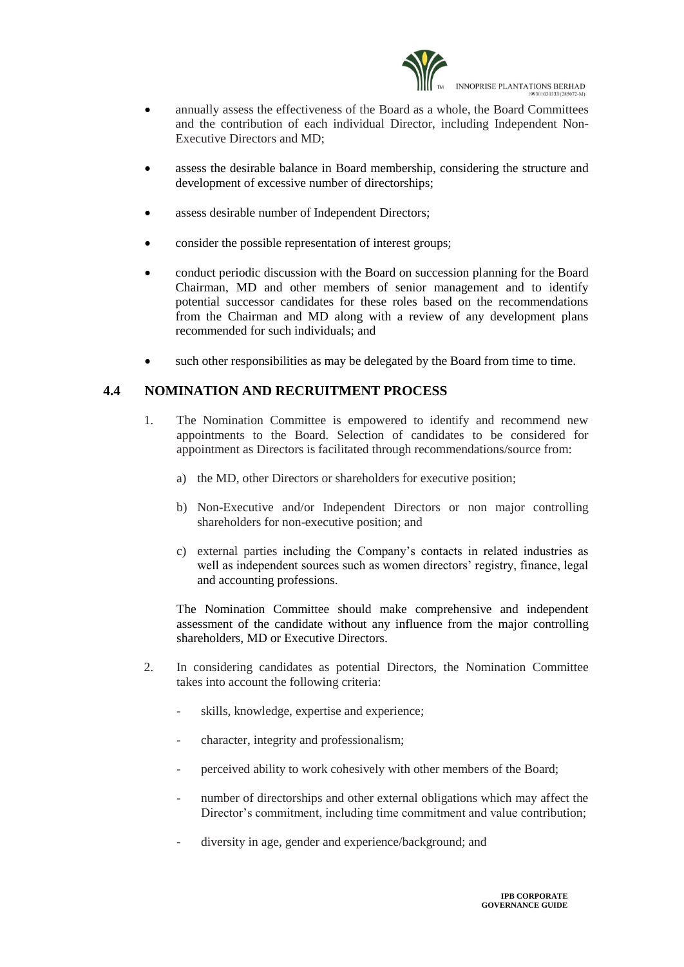

- annually assess the effectiveness of the Board as a whole, the Board Committees and the contribution of each individual Director, including Independent Non-Executive Directors and MD;
- assess the desirable balance in Board membership, considering the structure and development of excessive number of directorships;
- assess desirable number of Independent Directors;
- consider the possible representation of interest groups;
- conduct periodic discussion with the Board on succession planning for the Board Chairman, MD and other members of senior management and to identify potential successor candidates for these roles based on the recommendations from the Chairman and MD along with a review of any development plans recommended for such individuals; and
- such other responsibilities as may be delegated by the Board from time to time.

## **4.4 NOMINATION AND RECRUITMENT PROCESS**

- 1. The Nomination Committee is empowered to identify and recommend new appointments to the Board. Selection of candidates to be considered for appointment as Directors is facilitated through recommendations/source from:
	- a) the MD, other Directors or shareholders for executive position;
	- b) Non-Executive and/or Independent Directors or non major controlling shareholders for non-executive position; and
	- c) external parties including the Company's contacts in related industries as well as independent sources such as women directors' registry, finance, legal and accounting professions.

The Nomination Committee should make comprehensive and independent assessment of the candidate without any influence from the major controlling shareholders, MD or Executive Directors.

- 2. In considering candidates as potential Directors, the Nomination Committee takes into account the following criteria:
	- skills, knowledge, expertise and experience;
	- character, integrity and professionalism;
	- perceived ability to work cohesively with other members of the Board;
	- number of directorships and other external obligations which may affect the Director's commitment, including time commitment and value contribution;
	- diversity in age, gender and experience/background; and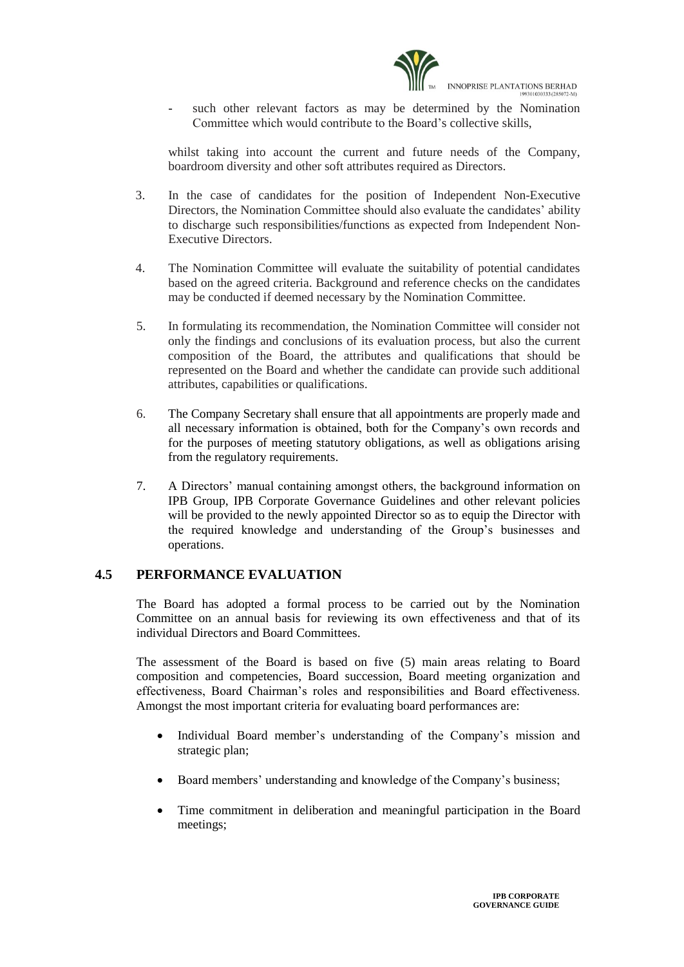

such other relevant factors as may be determined by the Nomination Committee which would contribute to the Board's collective skills,

whilst taking into account the current and future needs of the Company, boardroom diversity and other soft attributes required as Directors.

- 3. In the case of candidates for the position of Independent Non-Executive Directors, the Nomination Committee should also evaluate the candidates' ability to discharge such responsibilities/functions as expected from Independent Non-Executive Directors.
- 4. The Nomination Committee will evaluate the suitability of potential candidates based on the agreed criteria. Background and reference checks on the candidates may be conducted if deemed necessary by the Nomination Committee.
- 5. In formulating its recommendation, the Nomination Committee will consider not only the findings and conclusions of its evaluation process, but also the current composition of the Board, the attributes and qualifications that should be represented on the Board and whether the candidate can provide such additional attributes, capabilities or qualifications.
- 6. The Company Secretary shall ensure that all appointments are properly made and all necessary information is obtained, both for the Company's own records and for the purposes of meeting statutory obligations, as well as obligations arising from the regulatory requirements.
- 7. A Directors' manual containing amongst others, the background information on IPB Group, IPB Corporate Governance Guidelines and other relevant policies will be provided to the newly appointed Director so as to equip the Director with the required knowledge and understanding of the Group's businesses and operations.

## **4.5 PERFORMANCE EVALUATION**

The Board has adopted a formal process to be carried out by the Nomination Committee on an annual basis for reviewing its own effectiveness and that of its individual Directors and Board Committees.

The assessment of the Board is based on five (5) main areas relating to Board composition and competencies, Board succession, Board meeting organization and effectiveness, Board Chairman's roles and responsibilities and Board effectiveness. Amongst the most important criteria for evaluating board performances are:

- Individual Board member's understanding of the Company's mission and strategic plan;
- Board members' understanding and knowledge of the Company's business;
- Time commitment in deliberation and meaningful participation in the Board meetings;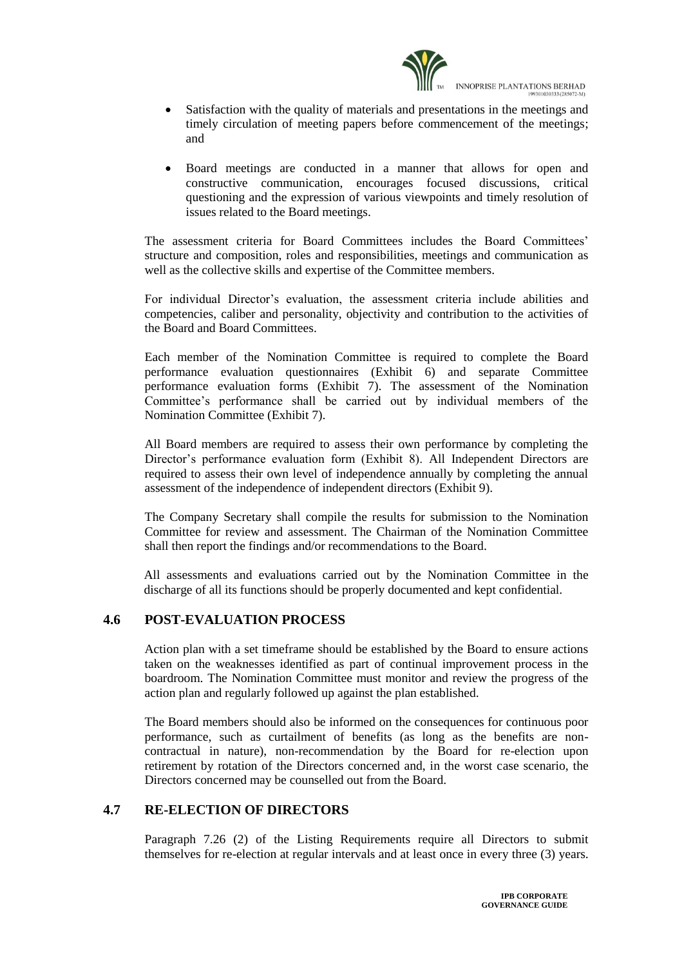

- Satisfaction with the quality of materials and presentations in the meetings and timely circulation of meeting papers before commencement of the meetings; and
- Board meetings are conducted in a manner that allows for open and constructive communication, encourages focused discussions, critical questioning and the expression of various viewpoints and timely resolution of issues related to the Board meetings.

The assessment criteria for Board Committees includes the Board Committees' structure and composition, roles and responsibilities, meetings and communication as well as the collective skills and expertise of the Committee members.

For individual Director's evaluation, the assessment criteria include abilities and competencies, caliber and personality, objectivity and contribution to the activities of the Board and Board Committees.

Each member of the Nomination Committee is required to complete the Board performance evaluation questionnaires (Exhibit 6) and separate Committee performance evaluation forms (Exhibit 7). The assessment of the Nomination Committee's performance shall be carried out by individual members of the Nomination Committee (Exhibit 7).

All Board members are required to assess their own performance by completing the Director's performance evaluation form (Exhibit 8). All Independent Directors are required to assess their own level of independence annually by completing the annual assessment of the independence of independent directors (Exhibit 9).

The Company Secretary shall compile the results for submission to the Nomination Committee for review and assessment. The Chairman of the Nomination Committee shall then report the findings and/or recommendations to the Board.

All assessments and evaluations carried out by the Nomination Committee in the discharge of all its functions should be properly documented and kept confidential.

## **4.6 POST-EVALUATION PROCESS**

Action plan with a set timeframe should be established by the Board to ensure actions taken on the weaknesses identified as part of continual improvement process in the boardroom. The Nomination Committee must monitor and review the progress of the action plan and regularly followed up against the plan established.

The Board members should also be informed on the consequences for continuous poor performance, such as curtailment of benefits (as long as the benefits are noncontractual in nature), non-recommendation by the Board for re-election upon retirement by rotation of the Directors concerned and, in the worst case scenario, the Directors concerned may be counselled out from the Board.

## **4.7 RE-ELECTION OF DIRECTORS**

Paragraph 7.26 (2) of the Listing Requirements require all Directors to submit themselves for re-election at regular intervals and at least once in every three (3) years.